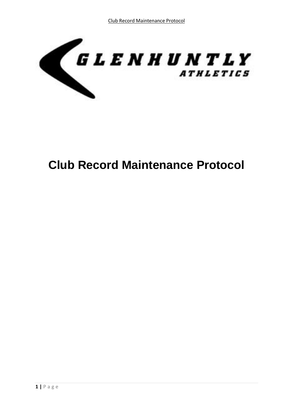

# **Club Record Maintenance Protocol**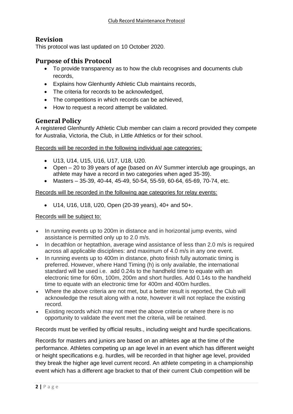## **Revision**

This protocol was last updated on 10 October 2020.

## **Purpose of this Protocol**

- To provide transparency as to how the club recognises and documents club records,
- Explains how Glenhuntly Athletic Club maintains records,
- The criteria for records to be acknowledged,
- The competitions in which records can be achieved,
- How to request a record attempt be validated.

## **General Policy**

A registered Glenhuntly Athletic Club member can claim a record provided they compete for Australia, Victoria, the Club, in Little Athletics or for their school.

Records will be recorded in the following individual age categories:

- U13, U14, U15, U16, U17, U18, U20.
- Open 20 to 39 years of age (based on AV Summer interclub age groupings, an athlete may have a record in two categories when aged 35-39).
- Masters 35-39, 40-44, 45-49, 50-54, 55-59, 60-64, 65-69, 70-74, etc.

Records will be recorded in the following age categories for relay events:

• U14, U16, U18, U20, Open (20-39 years), 40+ and 50+.

Records will be subject to:

- In running events up to 200m in distance and in horizontal jump events, wind assistance is permitted only up to 2.0 m/s.
- In decathlon or heptathlon, average wind assistance of less than 2.0 m/s is required across all applicable disciplines: and maximum of 4.0 m/s in any one event.
- In running events up to 400m in distance, photo finish fully automatic timing is preferred. However, where Hand Timing (h) is only available, the international standard will be used i.e. add 0.24s to the handheld time to equate with an electronic time for 60m, 100m, 200m and short hurdles. Add 0.14s to the handheld time to equate with an electronic time for 400m and 400m hurdles.
- Where the above criteria are not met, but a better result is reported, the Club will acknowledge the result along with a note, however it will not replace the existing record.
- Existing records which may not meet the above criteria or where there is no opportunity to validate the event met the criteria, will be retained.

Records must be verified by official results., including weight and hurdle specifications.

Records for masters and juniors are based on an athletes age at the time of the performance. Athletes competing up an age level in an event which has different weight or height specifications e.g. hurdles, will be recorded in that higher age level, provided they break the higher age level current record. An athlete competing in a championship event which has a different age bracket to that of their current Club competition will be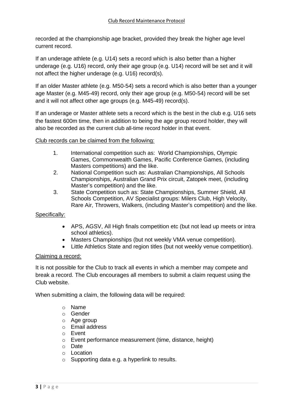recorded at the championship age bracket, provided they break the higher age level current record.

If an underage athlete (e.g. U14) sets a record which is also better than a higher underage (e.g. U16) record, only their age group (e.g. U14) record will be set and it will not affect the higher underage (e.g. U16) record(s).

If an older Master athlete (e.g. M50-54) sets a record which is also better than a younger age Master (e.g. M45-49) record, only their age group (e.g. M50-54) record will be set and it will not affect other age groups (e.g. M45-49) record(s).

If an underage or Master athlete sets a record which is the best in the club e.g. U16 sets the fastest 600m time, then in addition to being the age group record holder, they will also be recorded as the current club all-time record holder in that event.

#### Club records can be claimed from the following:

- 1. International competition such as: World Championships, Olympic Games, Commonwealth Games, Pacific Conference Games, (including Masters competitions) and the like.
- 2. National Competition such as: Australian Championships, All Schools Championships, Australian Grand Prix circuit, Zatopek meet, (including Master's competition) and the like.
- 3. State Competition such as: State Championships, Summer Shield, All Schools Competition, AV Specialist groups: Milers Club, High Velocity, Rare Air, Throwers, Walkers, (including Master's competition) and the like.

### Specifically:

- APS, AGSV, All High finals competition etc (but not lead up meets or intra school athletics).
- Masters Championships (but not weekly VMA venue competition).
- Little Athletics State and region titles (but not weekly venue competition).

#### Claiming a record:

It is not possible for the Club to track all events in which a member may compete and break a record. The Club encourages all members to submit a claim request using the Club website.

When submitting a claim, the following data will be required:

- o Name
- o Gender
- o Age group
- o Email address
- o Event
- o Event performance measurement (time, distance, height)
- o Date
- o Location
- o Supporting data e.g. a hyperlink to results.